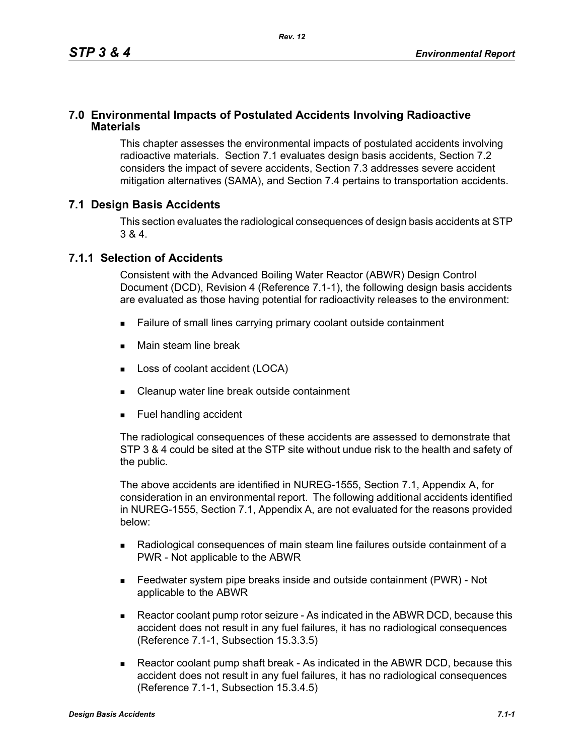### **7.0 Environmental Impacts of Postulated Accidents Involving Radioactive Materials**

This chapter assesses the environmental impacts of postulated accidents involving radioactive materials. Section 7.1 evaluates design basis accidents, Section 7.2 considers the impact of severe accidents, Section 7.3 addresses severe accident mitigation alternatives (SAMA), and Section 7.4 pertains to transportation accidents.

### **7.1 Design Basis Accidents**

This section evaluates the radiological consequences of design basis accidents at STP 3 & 4.

### **7.1.1 Selection of Accidents**

Consistent with the Advanced Boiling Water Reactor (ABWR) Design Control Document (DCD), Revision 4 (Reference 7.1-1), the following design basis accidents are evaluated as those having potential for radioactivity releases to the environment:

- Failure of small lines carrying primary coolant outside containment
- **Main steam line break**
- **Loss of coolant accident (LOCA)**
- Cleanup water line break outside containment
- **Fuel handling accident**

The radiological consequences of these accidents are assessed to demonstrate that STP 3 & 4 could be sited at the STP site without undue risk to the health and safety of the public.

The above accidents are identified in NUREG-1555, Section 7.1, Appendix A, for consideration in an environmental report. The following additional accidents identified in NUREG-1555, Section 7.1, Appendix A, are not evaluated for the reasons provided below:

- Radiological consequences of main steam line failures outside containment of a PWR - Not applicable to the ABWR
- Feedwater system pipe breaks inside and outside containment (PWR) Not applicable to the ABWR
- Reactor coolant pump rotor seizure As indicated in the ABWR DCD, because this accident does not result in any fuel failures, it has no radiological consequences (Reference 7.1-1, Subsection 15.3.3.5)
- Reactor coolant pump shaft break As indicated in the ABWR DCD, because this accident does not result in any fuel failures, it has no radiological consequences (Reference 7.1-1, Subsection 15.3.4.5)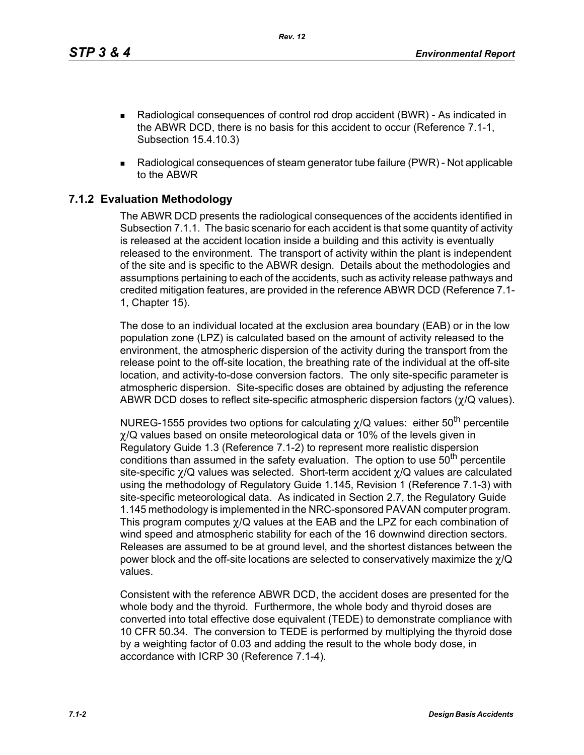*Rev. 12*

- Radiological consequences of control rod drop accident (BWR) As indicated in the ABWR DCD, there is no basis for this accident to occur (Reference 7.1-1, Subsection 15.4.10.3)
- Radiological consequences of steam generator tube failure (PWR) Not applicable to the ABWR

# **7.1.2 Evaluation Methodology**

The ABWR DCD presents the radiological consequences of the accidents identified in Subsection 7.1.1. The basic scenario for each accident is that some quantity of activity is released at the accident location inside a building and this activity is eventually released to the environment. The transport of activity within the plant is independent of the site and is specific to the ABWR design. Details about the methodologies and assumptions pertaining to each of the accidents, such as activity release pathways and credited mitigation features, are provided in the reference ABWR DCD (Reference 7.1- 1, Chapter 15).

The dose to an individual located at the exclusion area boundary (EAB) or in the low population zone (LPZ) is calculated based on the amount of activity released to the environment, the atmospheric dispersion of the activity during the transport from the release point to the off-site location, the breathing rate of the individual at the off-site location, and activity-to-dose conversion factors. The only site-specific parameter is atmospheric dispersion. Site-specific doses are obtained by adjusting the reference ABWR DCD doses to reflect site-specific atmospheric dispersion factors (χ/Q values).

NUREG-1555 provides two options for calculating  $\chi$ /Q values: either 50<sup>th</sup> percentile χ/Q values based on onsite meteorological data or 10% of the levels given in Regulatory Guide 1.3 (Reference 7.1-2) to represent more realistic dispersion conditions than assumed in the safety evaluation. The option to use  $50<sup>th</sup>$  percentile site-specific χ/Q values was selected. Short-term accident χ/Q values are calculated using the methodology of Regulatory Guide 1.145, Revision 1 (Reference 7.1-3) with site-specific meteorological data. As indicated in Section 2.7, the Regulatory Guide 1.145 methodology is implemented in the NRC-sponsored PAVAN computer program. This program computes χ/Q values at the EAB and the LPZ for each combination of wind speed and atmospheric stability for each of the 16 downwind direction sectors. Releases are assumed to be at ground level, and the shortest distances between the power block and the off-site locations are selected to conservatively maximize the  $\chi$ /Q values.

Consistent with the reference ABWR DCD, the accident doses are presented for the whole body and the thyroid. Furthermore, the whole body and thyroid doses are converted into total effective dose equivalent (TEDE) to demonstrate compliance with 10 CFR 50.34. The conversion to TEDE is performed by multiplying the thyroid dose by a weighting factor of 0.03 and adding the result to the whole body dose, in accordance with ICRP 30 (Reference 7.1-4).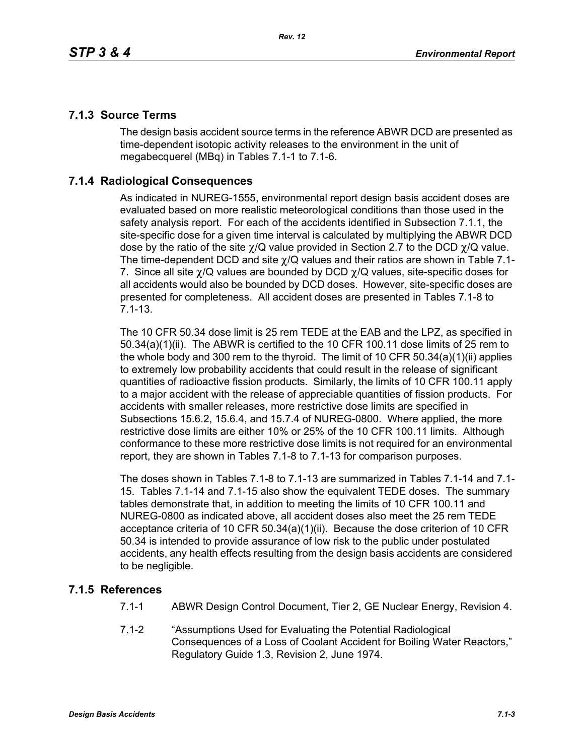## **7.1.3 Source Terms**

The design basis accident source terms in the reference ABWR DCD are presented as time-dependent isotopic activity releases to the environment in the unit of megabecquerel (MBq) in Tables 7.1-1 to 7.1-6.

## **7.1.4 Radiological Consequences**

As indicated in NUREG-1555, environmental report design basis accident doses are evaluated based on more realistic meteorological conditions than those used in the safety analysis report. For each of the accidents identified in Subsection 7.1.1, the site-specific dose for a given time interval is calculated by multiplying the ABWR DCD dose by the ratio of the site  $\chi$ /Q value provided in Section 2.7 to the DCD  $\chi$ /Q value. The time-dependent DCD and site  $\gamma$ /Q values and their ratios are shown in Table 7.1-7. Since all site  $\chi$ /Q values are bounded by DCD  $\chi$ /Q values, site-specific doses for all accidents would also be bounded by DCD doses. However, site-specific doses are presented for completeness. All accident doses are presented in Tables 7.1-8 to 7.1-13.

The 10 CFR 50.34 dose limit is 25 rem TEDE at the EAB and the LPZ, as specified in 50.34(a)(1)(ii). The ABWR is certified to the 10 CFR 100.11 dose limits of 25 rem to the whole body and 300 rem to the thyroid. The limit of 10 CFR 50.34(a)(1)(ii) applies to extremely low probability accidents that could result in the release of significant quantities of radioactive fission products. Similarly, the limits of 10 CFR 100.11 apply to a major accident with the release of appreciable quantities of fission products. For accidents with smaller releases, more restrictive dose limits are specified in Subsections 15.6.2, 15.6.4, and 15.7.4 of NUREG-0800. Where applied, the more restrictive dose limits are either 10% or 25% of the 10 CFR 100.11 limits. Although conformance to these more restrictive dose limits is not required for an environmental report, they are shown in Tables 7.1-8 to 7.1-13 for comparison purposes.

The doses shown in Tables 7.1-8 to 7.1-13 are summarized in Tables 7.1-14 and 7.1- 15. Tables 7.1-14 and 7.1-15 also show the equivalent TEDE doses. The summary tables demonstrate that, in addition to meeting the limits of 10 CFR 100.11 and NUREG-0800 as indicated above, all accident doses also meet the 25 rem TEDE acceptance criteria of 10 CFR 50.34(a)(1)(ii). Because the dose criterion of 10 CFR 50.34 is intended to provide assurance of low risk to the public under postulated accidents, any health effects resulting from the design basis accidents are considered to be negligible.

## **7.1.5 References**

- 7.1-1 ABWR Design Control Document, Tier 2, GE Nuclear Energy, Revision 4.
- 7.1-2 "Assumptions Used for Evaluating the Potential Radiological Consequences of a Loss of Coolant Accident for Boiling Water Reactors," Regulatory Guide 1.3, Revision 2, June 1974.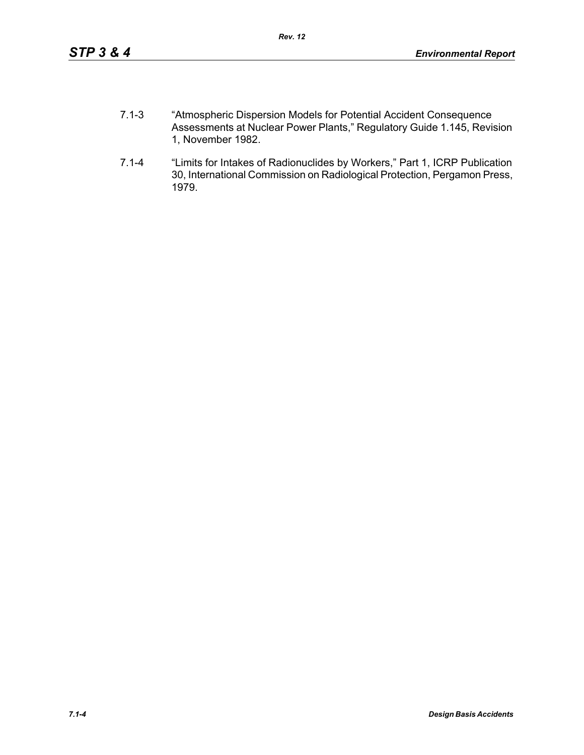- 7.1-3 "Atmospheric Dispersion Models for Potential Accident Consequence Assessments at Nuclear Power Plants," Regulatory Guide 1.145, Revision 1, November 1982.
- 7.1-4 "Limits for Intakes of Radionuclides by Workers," Part 1, ICRP Publication 30, International Commission on Radiological Protection, Pergamon Press, 1979.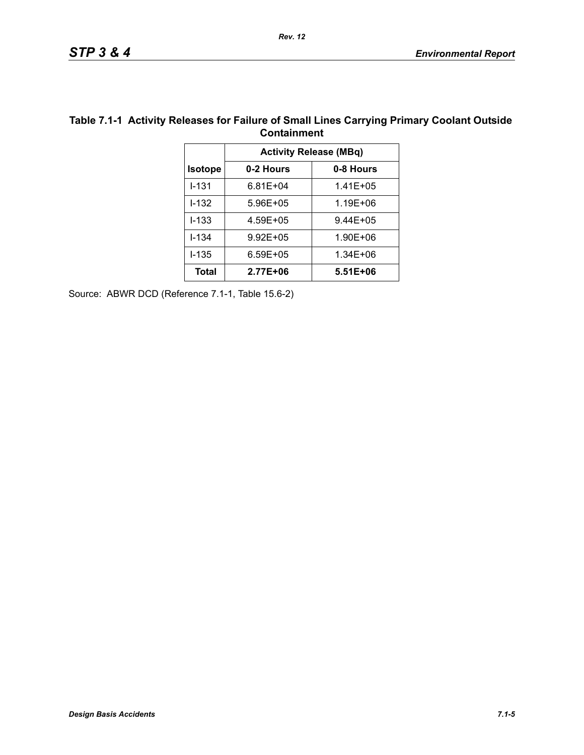| <b>UURILAILINEILL</b>         |              |              |  |  |  |
|-------------------------------|--------------|--------------|--|--|--|
| <b>Activity Release (MBq)</b> |              |              |  |  |  |
| <b>Isotope</b>                | 0-2 Hours    | 0-8 Hours    |  |  |  |
| $1 - 131$                     | $6.81E + 04$ | $1.41E + 05$ |  |  |  |
| $1 - 132$                     | 5.96E+05     | 1.19E+06     |  |  |  |
| $I - 133$                     | 4.59E+05     | $9.44E + 05$ |  |  |  |
| $I - 134$                     | $9.92E + 05$ | 1.90E+06     |  |  |  |
| $1 - 135$                     | $6.59E + 05$ | 1.34E+06     |  |  |  |
| Total                         | 2.77E+06     | $5.51E + 06$ |  |  |  |

#### **Table 7.1-1 Activity Releases for Failure of Small Lines Carrying Primary Coolant Outside Containment**

Source: ABWR DCD (Reference 7.1-1, Table 15.6-2)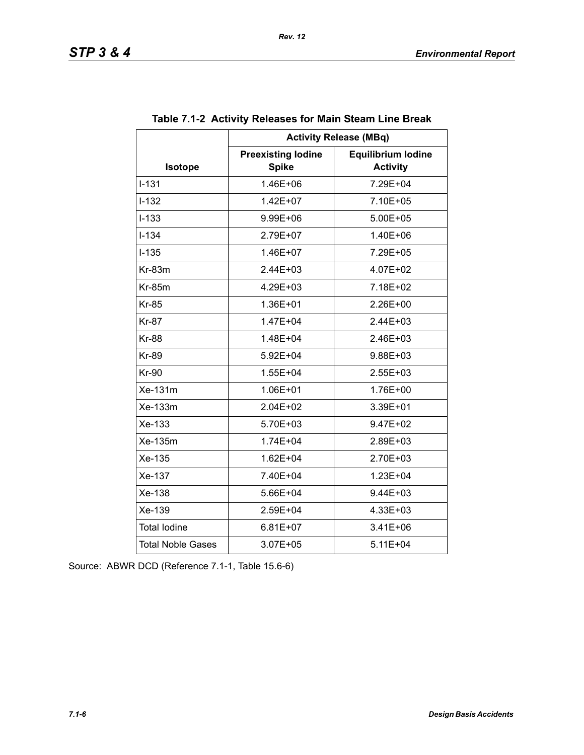|                          | <b>Activity Release (MBq)</b>             |                                              |  |  |  |
|--------------------------|-------------------------------------------|----------------------------------------------|--|--|--|
| Isotope                  | <b>Preexisting lodine</b><br><b>Spike</b> | <b>Equilibrium lodine</b><br><b>Activity</b> |  |  |  |
| $I - 131$                | 1.46E+06                                  | 7.29E+04                                     |  |  |  |
| $I - 132$                | 1.42E+07                                  | 7.10E+05                                     |  |  |  |
| $I-133$                  | 9.99E+06                                  | 5.00E+05                                     |  |  |  |
| $I - 134$                | 2.79E+07                                  | 1.40E+06                                     |  |  |  |
| $I-135$                  | 1.46E+07                                  | 7.29E+05                                     |  |  |  |
| $Kr-83m$                 | $2.44E + 03$                              | 4.07E+02                                     |  |  |  |
| <b>Kr-85m</b>            | 4.29E+03                                  | 7.18E+02                                     |  |  |  |
| <b>Kr-85</b>             | 1.36E+01                                  | 2.26E+00                                     |  |  |  |
| <b>Kr-87</b>             | 1.47E+04                                  | 2.44E+03                                     |  |  |  |
| <b>Kr-88</b>             | 1.48E+04                                  | $2.46E + 03$                                 |  |  |  |
| <b>Kr-89</b>             | 5.92E+04                                  | 9.88E+03                                     |  |  |  |
| <b>Kr-90</b>             | 1.55E+04                                  | 2.55E+03                                     |  |  |  |
| Xe-131m                  | 1.06E+01                                  | 1.76E+00                                     |  |  |  |
| Xe-133m                  | $2.04E + 02$                              | 3.39E+01                                     |  |  |  |
| Xe-133                   | 5.70E+03                                  | 9.47E+02                                     |  |  |  |
| Xe-135m                  | 1.74E+04                                  | 2.89E+03                                     |  |  |  |
| Xe-135                   | 1.62E+04                                  | 2.70E+03                                     |  |  |  |
| Xe-137                   | 7.40E+04                                  | 1.23E+04                                     |  |  |  |
| Xe-138                   | 5.66E+04                                  | 9.44E+03                                     |  |  |  |
| Xe-139                   | 2.59E+04                                  | 4.33E+03                                     |  |  |  |
| <b>Total lodine</b>      | $6.81E+07$                                | 3.41E+06                                     |  |  |  |
| <b>Total Noble Gases</b> | 3.07E+05                                  | 5.11E+04                                     |  |  |  |

Source: ABWR DCD (Reference 7.1-1, Table 15.6-6)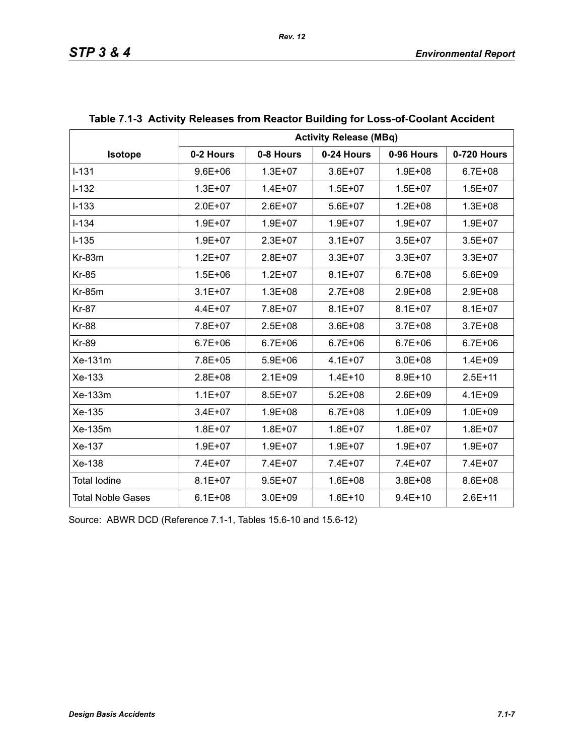|                          | <b>Activity Release (MBq)</b> |             |             |             |             |  |
|--------------------------|-------------------------------|-------------|-------------|-------------|-------------|--|
| Isotope                  | 0-2 Hours                     | 0-8 Hours   | 0-24 Hours  | 0-96 Hours  | 0-720 Hours |  |
| $I-131$                  | $9.6E + 06$                   | $1.3E + 07$ | $3.6E + 07$ | $1.9E + 08$ | $6.7E + 08$ |  |
| $I-132$                  | $1.3E + 07$                   | $1.4E + 07$ | $1.5E + 07$ | $1.5E + 07$ | $1.5E + 07$ |  |
| $I - 133$                | $2.0E + 07$                   | $2.6E + 07$ | $5.6E + 07$ | $1.2E + 08$ | $1.3E + 08$ |  |
| $I - 134$                | $1.9E + 07$                   | $1.9E + 07$ | $1.9E + 07$ | $1.9E + 07$ | $1.9E + 07$ |  |
| $I-135$                  | $1.9E + 07$                   | $2.3E + 07$ | $3.1E + 07$ | $3.5E + 07$ | $3.5E + 07$ |  |
| $Kr-83m$                 | $1.2E + 07$                   | $2.8E + 07$ | $3.3E + 07$ | $3.3E + 07$ | $3.3E + 07$ |  |
| <b>Kr-85</b>             | $1.5E + 06$                   | $1.2E + 07$ | $8.1E + 07$ | $6.7E + 08$ | $5.6E + 09$ |  |
| <b>Kr-85m</b>            | $3.1E + 07$                   | $1.3E + 08$ | $2.7E + 08$ | $2.9E + 08$ | $2.9E + 08$ |  |
| <b>Kr-87</b>             | 4.4E+07                       | 7.8E+07     | $8.1E + 07$ | $8.1E + 07$ | $8.1E + 07$ |  |
| <b>Kr-88</b>             | 7.8E+07                       | $2.5E + 08$ | $3.6E + 08$ | $3.7E + 08$ | $3.7E + 08$ |  |
| <b>Kr-89</b>             | $6.7E + 06$                   | $6.7E + 06$ | $6.7E + 06$ | $6.7E + 06$ | $6.7E + 06$ |  |
| Xe-131m                  | 7.8E+05                       | $5.9E + 06$ | $4.1E + 07$ | $3.0E + 08$ | $1.4E + 09$ |  |
| Xe-133                   | $2.8E + 08$                   | $2.1E + 09$ | $1.4E + 10$ | $8.9E + 10$ | $2.5E + 11$ |  |
| Xe-133m                  | $1.1E + 07$                   | $8.5E + 07$ | $5.2E + 08$ | $2.6E + 09$ | $4.1E + 09$ |  |
| Xe-135                   | $3.4E + 07$                   | $1.9E + 08$ | $6.7E + 08$ | $1.0E + 09$ | $1.0E + 09$ |  |
| Xe-135m                  | $1.8E + 07$                   | $1.8E + 07$ | $1.8E + 07$ | $1.8E + 07$ | $1.8E + 07$ |  |
| Xe-137                   | $1.9E + 07$                   | $1.9E + 07$ | $1.9E + 07$ | $1.9E + 07$ | $1.9E + 07$ |  |
| Xe-138                   | 7.4E+07                       | 7.4E+07     | 7.4E+07     | 7.4E+07     | 7.4E+07     |  |
| <b>Total lodine</b>      | $8.1E + 07$                   | $9.5E + 07$ | $1.6E + 08$ | $3.8E + 08$ | 8.6E+08     |  |
| <b>Total Noble Gases</b> | $6.1E + 08$                   | $3.0E + 09$ | $1.6E + 10$ | $9.4E + 10$ | $2.6E + 11$ |  |

## **Table 7.1-3 Activity Releases from Reactor Building for Loss-of-Coolant Accident**

Source: ABWR DCD (Reference 7.1-1, Tables 15.6-10 and 15.6-12)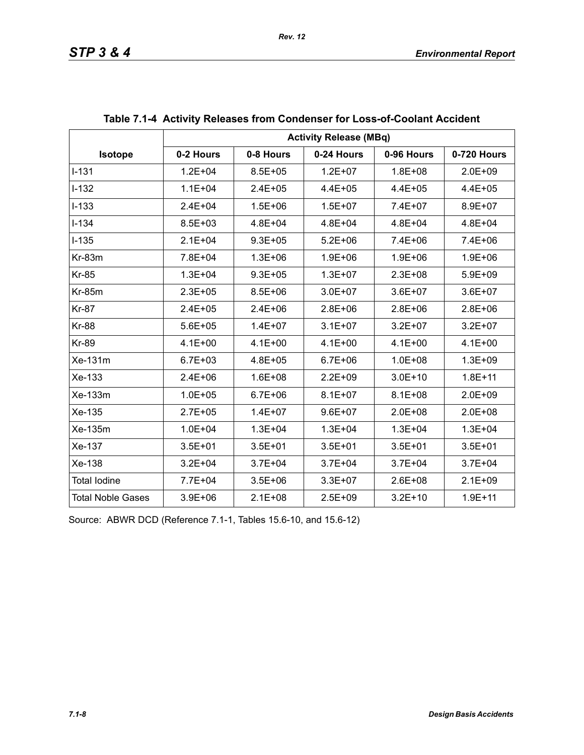|                          | <b>Activity Release (MBq)</b> |             |             |             |             |  |  |
|--------------------------|-------------------------------|-------------|-------------|-------------|-------------|--|--|
| Isotope                  | 0-2 Hours                     | 0-8 Hours   | 0-24 Hours  | 0-96 Hours  | 0-720 Hours |  |  |
| $1 - 131$                | $1.2E + 04$                   | $8.5E + 05$ | $1.2E + 07$ | $1.8E + 08$ | $2.0E + 09$ |  |  |
| $I-132$                  | $1.1E + 04$                   | $2.4E + 05$ | $4.4E + 05$ | $4.4E + 05$ | $4.4E + 05$ |  |  |
| $I-133$                  | $2.4E + 04$                   | $1.5E + 06$ | $1.5E + 07$ | 7.4E+07     | 8.9E+07     |  |  |
| $I - 134$                | $8.5E + 03$                   | $4.8E + 04$ | $4.8E + 04$ | $4.8E + 04$ | $4.8E + 04$ |  |  |
| $I-135$                  | $2.1E + 04$                   | $9.3E + 05$ | $5.2E + 06$ | 7.4E+06     | 7.4E+06     |  |  |
| $Kr-83m$                 | 7.8E+04                       | $1.3E + 06$ | $1.9E + 06$ | $1.9E + 06$ | $1.9E + 06$ |  |  |
| <b>Kr-85</b>             | $1.3E + 04$                   | $9.3E + 05$ | $1.3E + 07$ | $2.3E + 08$ | $5.9E + 09$ |  |  |
| <b>Kr-85m</b>            | $2.3E + 05$                   | $8.5E + 06$ | $3.0E + 07$ | $3.6E + 07$ | $3.6E + 07$ |  |  |
| <b>Kr-87</b>             | $2.4E + 05$                   | $2.4E + 06$ | $2.8E + 06$ | $2.8E + 06$ | $2.8E + 06$ |  |  |
| <b>Kr-88</b>             | $5.6E + 05$                   | $1.4E + 07$ | $3.1E + 07$ | $3.2E + 07$ | $3.2E + 07$ |  |  |
| <b>Kr-89</b>             | $4.1E + 00$                   | $4.1E + 00$ | $4.1E + 00$ | $4.1E + 00$ | $4.1E + 00$ |  |  |
| $Xe-131m$                | $6.7E + 03$                   | 4.8E+05     | $6.7E + 06$ | $1.0E + 08$ | $1.3E + 09$ |  |  |
| Xe-133                   | $2.4E + 06$                   | $1.6E + 08$ | $2.2E + 09$ | $3.0E + 10$ | $1.8E + 11$ |  |  |
| Xe-133m                  | $1.0E + 05$                   | $6.7E + 06$ | $8.1E + 07$ | $8.1E + 08$ | $2.0E + 09$ |  |  |
| Xe-135                   | $2.7E + 05$                   | $1.4E + 07$ | $9.6E + 07$ | $2.0E + 08$ | $2.0E + 08$ |  |  |
| Xe-135m                  | $1.0E + 04$                   | $1.3E + 04$ | $1.3E + 04$ | $1.3E + 04$ | $1.3E + 04$ |  |  |
| Xe-137                   | $3.5E + 01$                   | $3.5E + 01$ | $3.5E + 01$ | $3.5E + 01$ | $3.5E + 01$ |  |  |
| Xe-138                   | $3.2E + 04$                   | $3.7E + 04$ | $3.7E + 04$ | $3.7E + 04$ | $3.7E + 04$ |  |  |
| <b>Total lodine</b>      | 7.7E+04                       | $3.5E + 06$ | $3.3E + 07$ | $2.6E + 08$ | $2.1E + 09$ |  |  |
| <b>Total Noble Gases</b> | $3.9E + 06$                   | $2.1E + 08$ | $2.5E + 09$ | $3.2E + 10$ | $1.9E + 11$ |  |  |

| Table 7.1-4 Activity Releases from Condenser for Loss-of-Coolant Accident |  |  |
|---------------------------------------------------------------------------|--|--|
|                                                                           |  |  |

Source: ABWR DCD (Reference 7.1-1, Tables 15.6-10, and 15.6-12)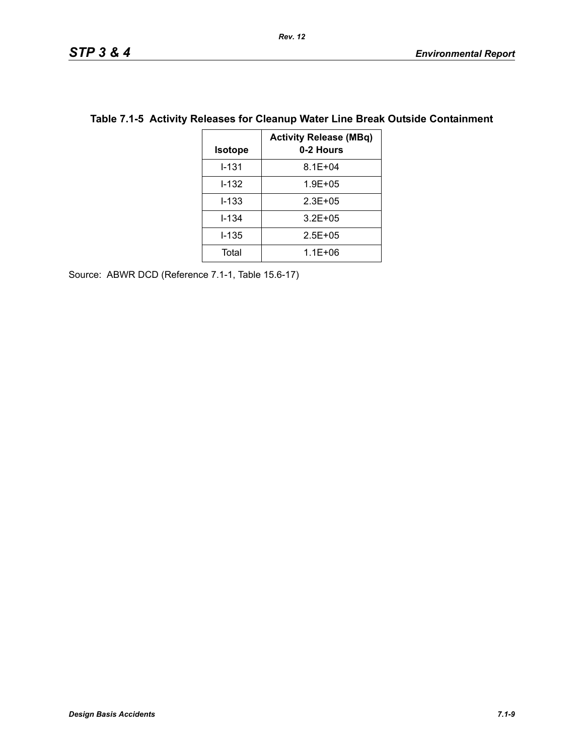| <b>Isotope</b> | <b>Activity Release (MBq)</b><br>0-2 Hours |
|----------------|--------------------------------------------|
| $1 - 131$      | $8.1E + 04$                                |
| $1 - 132$      | $1.9E + 0.5$                               |
| $1 - 133$      | $2.3E + 0.5$                               |
| $I - 134$      | $3.2E + 0.5$                               |
| $1 - 135$      | $2.5E + 0.5$                               |
| Total          | $1.1E + 06$                                |

## **Table 7.1-5 Activity Releases for Cleanup Water Line Break Outside Containment**

Source: ABWR DCD (Reference 7.1-1, Table 15.6-17)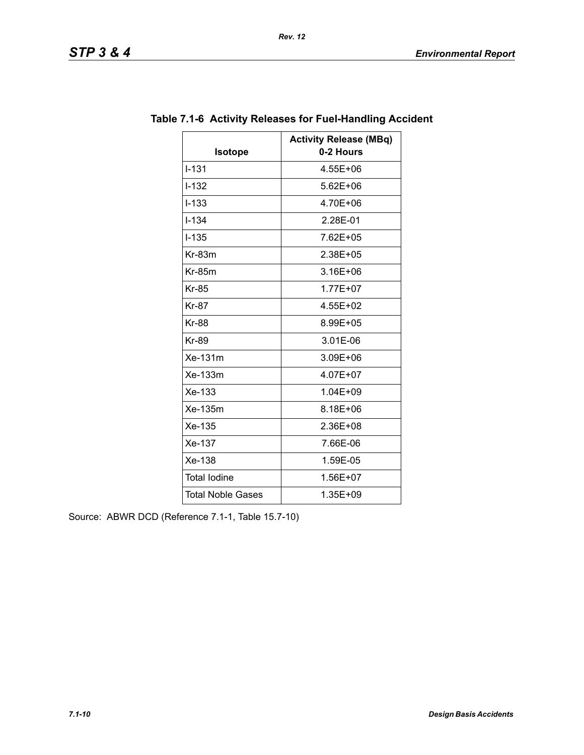|                          | <b>Activity Release (MBq)</b> |
|--------------------------|-------------------------------|
| <b>Isotope</b>           | 0-2 Hours                     |
| $I - 131$                | 4.55E+06                      |
| $I - 132$                | 5.62E+06                      |
| $I - 133$                | 4.70E+06                      |
| $I - 134$                | 2.28E-01                      |
| $I - 135$                | 7.62E+05                      |
| Kr-83m                   | 2.38E+05                      |
| $Kr-85m$                 | 3.16E+06                      |
| <b>Kr-85</b>             | 1.77E+07                      |
| <b>Kr-87</b>             | 4.55E+02                      |
| <b>Kr-88</b>             | 8.99E+05                      |
| <b>Kr-89</b>             | 3.01E-06                      |
| Xe-131m                  | 3.09E+06                      |
| Xe-133m                  | 4.07E+07                      |
| Xe-133                   | 1.04E+09                      |
| Xe-135m                  | 8.18E+06                      |
| Xe-135                   | 2.36E+08                      |
| Xe-137                   | 7.66E-06                      |
| Xe-138                   | 1.59E-05                      |
| <b>Total lodine</b>      | 1.56E+07                      |
| <b>Total Noble Gases</b> | 1.35E+09                      |

## **Table 7.1-6 Activity Releases for Fuel-Handling Accident**

*Rev. 12*

Source: ABWR DCD (Reference 7.1-1, Table 15.7-10)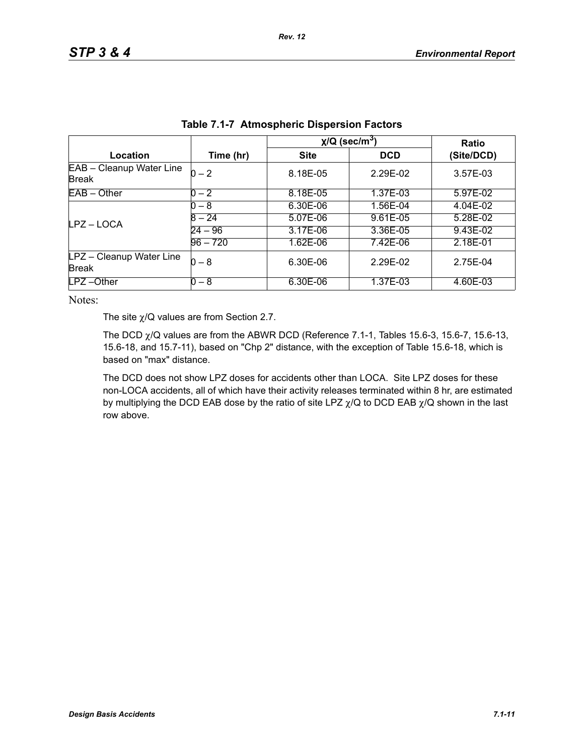|                                          |            | $\chi$ /Q (sec/m <sup>3</sup> ) | <b>Ratio</b> |            |
|------------------------------------------|------------|---------------------------------|--------------|------------|
| Location                                 | Time (hr)  | <b>Site</b>                     | <b>DCD</b>   | (Site/DCD) |
| EAB - Cleanup Water Line<br><b>Break</b> | $0 - 2$    | 8.18E-05                        | 2.29E-02     | 3.57E-03   |
| $EAB - Other$                            | $0 - 2$    | 8.18E-05                        | 1.37E-03     | 5.97E-02   |
|                                          | $0 - 8$    | 6.30E-06                        | 1.56E-04     | 4.04E-02   |
| LPZ – LOCA                               | $8 - 24$   | 5.07E-06                        | 9.61E-05     | 5.28E-02   |
|                                          | $24 - 96$  | 3.17E-06                        | 3.36E-05     | 9.43E-02   |
|                                          | $96 - 720$ | 1.62E-06                        | 7.42E-06     | 2.18E-01   |
| LPZ - Cleanup Water Line<br><b>Break</b> | $0-8$      | 6.30E-06                        | 2.29E-02     | 2.75E-04   |
| LPZ-Other                                | $0 - 8$    | 6.30E-06                        | 1.37E-03     | 4.60E-03   |

| Table 7.1-7 Atmospheric Dispersion Factors |
|--------------------------------------------|
|--------------------------------------------|

Notes:

The site  $\chi$ /Q values are from Section 2.7.

The DCD  $\chi$ /Q values are from the ABWR DCD (Reference 7.1-1, Tables 15.6-3, 15.6-7, 15.6-13, 15.6-18, and 15.7-11), based on "Chp 2" distance, with the exception of Table 15.6-18, which is based on "max" distance.

The DCD does not show LPZ doses for accidents other than LOCA. Site LPZ doses for these non-LOCA accidents, all of which have their activity releases terminated within 8 hr, are estimated by multiplying the DCD EAB dose by the ratio of site LPZ  $\chi$ /Q to DCD EAB  $\chi$ /Q shown in the last row above.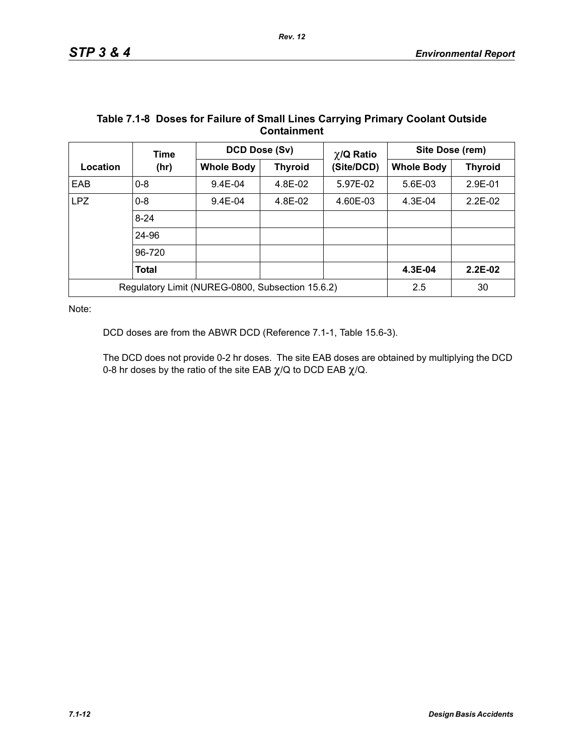| <b>VUIKUIIIIIVIIL</b> |                                                  |                   |                |                 |                   |                |  |
|-----------------------|--------------------------------------------------|-------------------|----------------|-----------------|-------------------|----------------|--|
|                       | <b>Time</b>                                      | DCD Dose (Sv)     |                | $\chi$ /Q Ratio | Site Dose (rem)   |                |  |
| Location              | (hr)                                             | <b>Whole Body</b> | <b>Thyroid</b> | (Site/DCD)      | <b>Whole Body</b> | <b>Thyroid</b> |  |
| EAB                   | $0 - 8$                                          | $9.4E - 04$       | 4.8E-02        | 5.97E-02        | 5.6E-03           | 2.9E-01        |  |
| LPZ                   | $0 - 8$                                          | $9.4E - 04$       | 4.8E-02        | 4.60E-03        | $4.3E-04$         | $2.2E-02$      |  |
|                       | $8 - 24$                                         |                   |                |                 |                   |                |  |
|                       | 24-96                                            |                   |                |                 |                   |                |  |
|                       | 96-720                                           |                   |                |                 |                   |                |  |
|                       | <b>Total</b>                                     |                   |                |                 | 4.3E-04           | $2.2E-02$      |  |
|                       | Regulatory Limit (NUREG-0800, Subsection 15.6.2) |                   |                |                 | 2.5               | 30             |  |

#### **Table 7.1-8 Doses for Failure of Small Lines Carrying Primary Coolant Outside Containment**

Note:

DCD doses are from the ABWR DCD (Reference 7.1-1, Table 15.6-3).

The DCD does not provide 0-2 hr doses. The site EAB doses are obtained by multiplying the DCD 0-8 hr doses by the ratio of the site EAB  $\chi$ /Q to DCD EAB  $\chi$ /Q.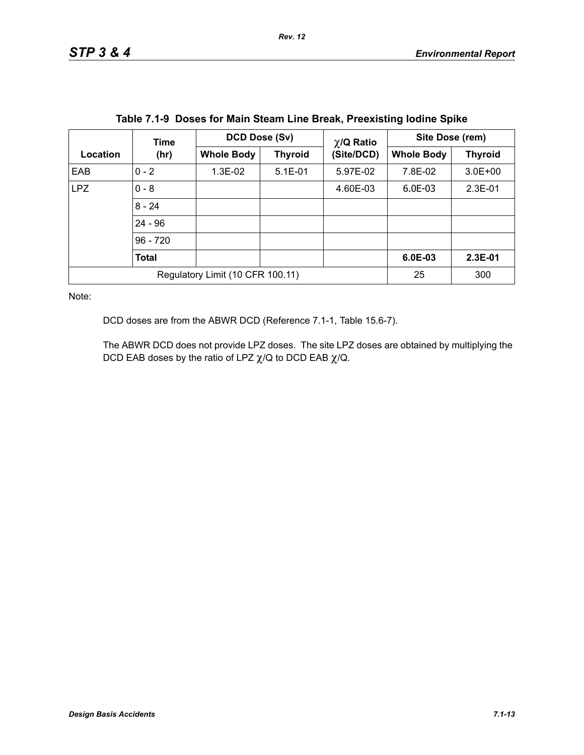|                                  | Time         |                   | DCD Dose (Sv)<br>$\chi$ /Q Ratio |            | Site Dose (rem)   |                |
|----------------------------------|--------------|-------------------|----------------------------------|------------|-------------------|----------------|
| Location                         | (hr)         | <b>Whole Body</b> | <b>Thyroid</b>                   | (Site/DCD) | <b>Whole Body</b> | <b>Thyroid</b> |
| EAB                              | $0 - 2$      | $1.3E-02$         | $5.1E - 01$                      | 5.97E-02   | 7.8E-02           | $3.0E + 00$    |
| <b>LPZ</b>                       | $0 - 8$      |                   |                                  | 4.60E-03   | $6.0E-03$         | $2.3E-01$      |
|                                  | $8 - 24$     |                   |                                  |            |                   |                |
|                                  | $24 - 96$    |                   |                                  |            |                   |                |
|                                  | $96 - 720$   |                   |                                  |            |                   |                |
|                                  | <b>Total</b> |                   |                                  |            | $6.0E-03$         | $2.3E-01$      |
| Regulatory Limit (10 CFR 100.11) |              |                   |                                  | 25         | 300               |                |

**Table 7.1-9 Doses for Main Steam Line Break, Preexisting Iodine Spike**

Note:

DCD doses are from the ABWR DCD (Reference 7.1-1, Table 15.6-7).

The ABWR DCD does not provide LPZ doses. The site LPZ doses are obtained by multiplying the DCD EAB doses by the ratio of LPZ  $\chi$ /Q to DCD EAB  $\chi$ /Q.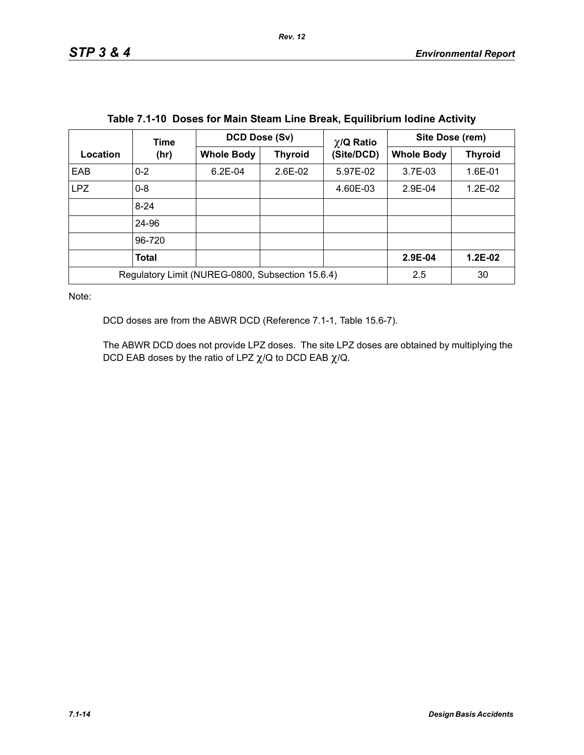|                                                  | Time     | DCD Dose (Sv)     |                | $\chi$ /Q Ratio | Site Dose (rem)   |                |
|--------------------------------------------------|----------|-------------------|----------------|-----------------|-------------------|----------------|
| Location                                         | (hr)     | <b>Whole Body</b> | <b>Thyroid</b> | (Site/DCD)      | <b>Whole Body</b> | <b>Thyroid</b> |
| EAB                                              | $0 - 2$  | $6.2E - 04$       | $2.6E-02$      | 5.97E-02        | $3.7E-03$         | 1.6E-01        |
| <b>LPZ</b>                                       | $0 - 8$  |                   |                | 4.60E-03        | 2.9E-04           | 1.2E-02        |
|                                                  | $8 - 24$ |                   |                |                 |                   |                |
|                                                  | 24-96    |                   |                |                 |                   |                |
|                                                  | 96-720   |                   |                |                 |                   |                |
|                                                  | Total    |                   |                |                 | 2.9E-04           | $1.2E-02$      |
| Regulatory Limit (NUREG-0800, Subsection 15.6.4) |          |                   |                | 2.5             | 30                |                |

|  |  | Table 7.1-10 Doses for Main Steam Line Break, Equilibrium Iodine Activity |  |  |
|--|--|---------------------------------------------------------------------------|--|--|
|--|--|---------------------------------------------------------------------------|--|--|

Note:

DCD doses are from the ABWR DCD (Reference 7.1-1, Table 15.6-7).

The ABWR DCD does not provide LPZ doses. The site LPZ doses are obtained by multiplying the DCD EAB doses by the ratio of LPZ  $\chi$ /Q to DCD EAB  $\chi$ /Q.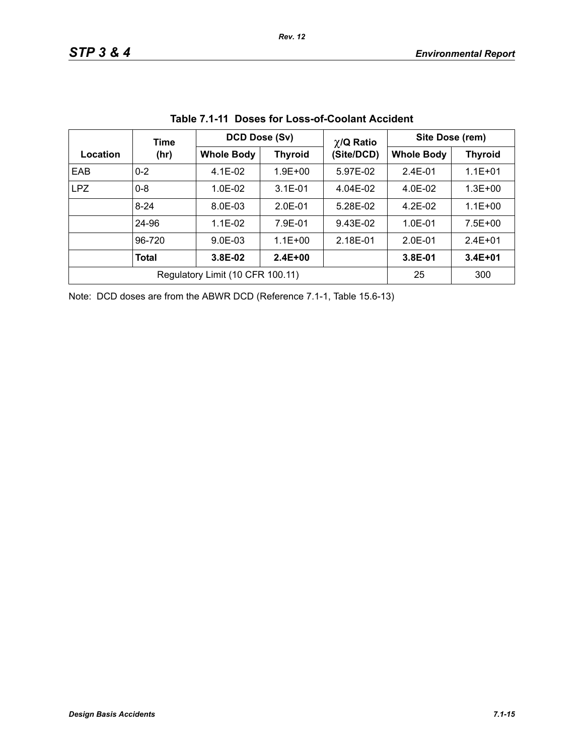|                                  | Time     | DCD Dose (Sv)     |                | $\chi$ /Q Ratio | Site Dose (rem)   |                |  |
|----------------------------------|----------|-------------------|----------------|-----------------|-------------------|----------------|--|
| Location                         | (hr)     | <b>Whole Body</b> | <b>Thyroid</b> | (Site/DCD)      | <b>Whole Body</b> | <b>Thyroid</b> |  |
| EAB                              | $0 - 2$  | $4.1E-02$         | $1.9E + 00$    | 5.97E-02        | $2.4E - 01$       | $1.1E + 01$    |  |
| <b>LPZ</b>                       | $0 - 8$  | $1.0E-02$         | $3.1E - 01$    | 4.04E-02        | 4.0E-02           | $1.3E + 00$    |  |
|                                  | $8 - 24$ | 8.0E-03           | $2.0E-01$      | 5.28E-02        | $4.2E-02$         | $1.1E + 00$    |  |
|                                  | 24-96    | $1.1E-02$         | 7.9E-01        | 9.43E-02        | $1.0E - 01$       | $7.5E + 00$    |  |
|                                  | 96-720   | $9.0E - 03$       | $1.1E + 00$    | 2.18E-01        | $2.0E-01$         | $2.4E + 01$    |  |
|                                  | Total    | 3.8E-02           | $2.4E + 00$    |                 | 3.8E-01           | $3.4E + 01$    |  |
| Regulatory Limit (10 CFR 100.11) |          |                   |                |                 | 25                | 300            |  |

**Table 7.1-11 Doses for Loss-of-Coolant Accident**

Note: DCD doses are from the ABWR DCD (Reference 7.1-1, Table 15.6-13)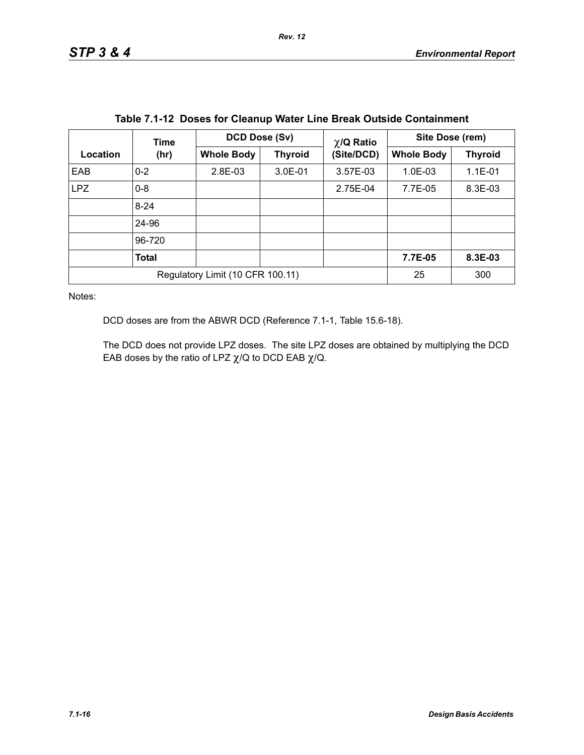|                                  | <b>Time</b>  |                   | DCD Dose (Sv)  |                               | Site Dose (rem)   |                |  |
|----------------------------------|--------------|-------------------|----------------|-------------------------------|-------------------|----------------|--|
| Location                         | (hr)         | <b>Whole Body</b> | <b>Thyroid</b> | $\chi$ /Q Ratio<br>(Site/DCD) | <b>Whole Body</b> | <b>Thyroid</b> |  |
| EAB                              | $0 - 2$      | 2.8E-03           | $3.0E - 01$    | 3.57E-03                      | $1.0E-03$         | $1.1E - 01$    |  |
| LPZ                              | $0 - 8$      |                   |                | 2.75E-04                      | 7.7E-05           | 8.3E-03        |  |
|                                  | $8 - 24$     |                   |                |                               |                   |                |  |
|                                  | 24-96        |                   |                |                               |                   |                |  |
|                                  | 96-720       |                   |                |                               |                   |                |  |
|                                  | <b>Total</b> |                   |                |                               | 7.7E-05           | 8.3E-03        |  |
| Regulatory Limit (10 CFR 100.11) |              |                   |                | 25                            | 300               |                |  |

**Table 7.1-12 Doses for Cleanup Water Line Break Outside Containment**

Notes:

DCD doses are from the ABWR DCD (Reference 7.1-1, Table 15.6-18).

The DCD does not provide LPZ doses. The site LPZ doses are obtained by multiplying the DCD EAB doses by the ratio of LPZ  $\chi$ /Q to DCD EAB  $\chi$ /Q.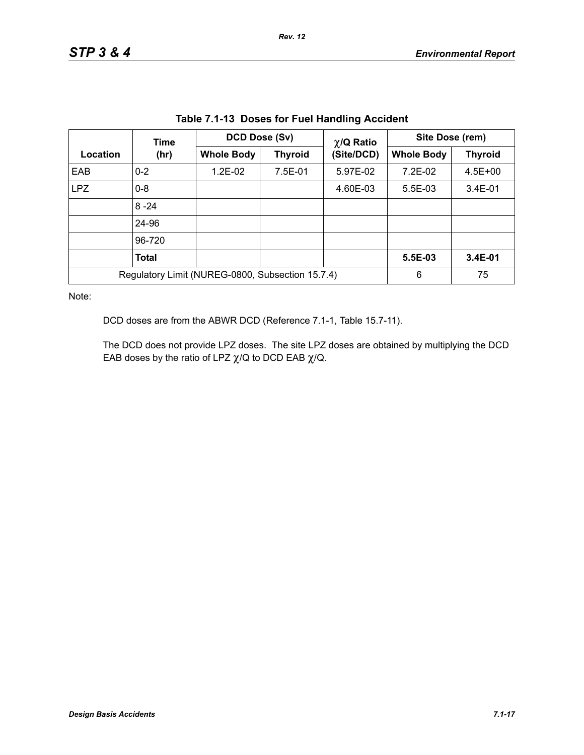| Location                                         | Time         |                   | DCD Dose (Sv)  |                               | Site Dose (rem)   |                |  |
|--------------------------------------------------|--------------|-------------------|----------------|-------------------------------|-------------------|----------------|--|
|                                                  | (hr)         | <b>Whole Body</b> | <b>Thyroid</b> | $\chi$ /Q Ratio<br>(Site/DCD) | <b>Whole Body</b> | <b>Thyroid</b> |  |
| EAB                                              | $0 - 2$      | $1.2E-02$         | 7.5E-01        | 5.97E-02                      | 7.2E-02           | $4.5E + 00$    |  |
| LPZ                                              | $0 - 8$      |                   |                | 4.60E-03                      | $5.5E-03$         | $3.4E - 01$    |  |
|                                                  | $8 - 24$     |                   |                |                               |                   |                |  |
|                                                  | 24-96        |                   |                |                               |                   |                |  |
|                                                  | 96-720       |                   |                |                               |                   |                |  |
|                                                  | <b>Total</b> |                   |                |                               | 5.5E-03           | 3.4E-01        |  |
| Regulatory Limit (NUREG-0800, Subsection 15.7.4) |              |                   |                |                               | 6                 | 75             |  |

**Table 7.1-13 Doses for Fuel Handling Accident**

Note:

DCD doses are from the ABWR DCD (Reference 7.1-1, Table 15.7-11).

The DCD does not provide LPZ doses. The site LPZ doses are obtained by multiplying the DCD EAB doses by the ratio of LPZ  $\chi$ /Q to DCD EAB  $\chi$ /Q.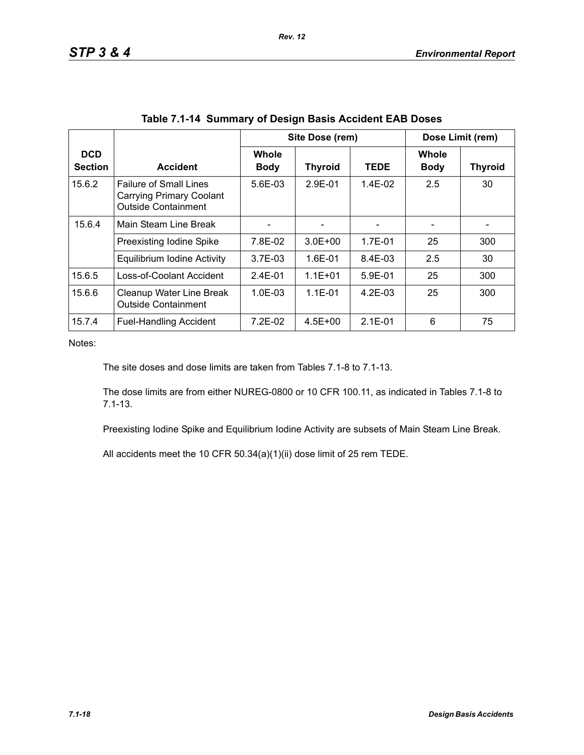|                              |                                                                                                |                             | Site Dose (rem) |             |                      | Dose Limit (rem) |  |
|------------------------------|------------------------------------------------------------------------------------------------|-----------------------------|-----------------|-------------|----------------------|------------------|--|
| <b>DCD</b><br><b>Section</b> | <b>Accident</b>                                                                                | <b>Whole</b><br><b>Body</b> | <b>Thyroid</b>  | <b>TEDE</b> | Whole<br><b>Body</b> | <b>Thyroid</b>   |  |
| 15.6.2                       | <b>Failure of Small Lines</b><br><b>Carrying Primary Coolant</b><br><b>Outside Containment</b> | $5.6E - 0.3$                | 2.9E-01         | $1.4E-02$   | 2.5                  | 30               |  |
| 15.6.4                       | Main Steam Line Break                                                                          |                             |                 |             |                      |                  |  |
|                              | Preexisting Iodine Spike                                                                       | 7.8E-02                     | $3.0E + 00$     | $1.7E - 01$ | 25                   | 300              |  |
|                              | Equilibrium Iodine Activity                                                                    | $3.7E-03$                   | 1.6E-01         | 8.4E-03     | 2.5                  | 30               |  |
| 15.6.5                       | Loss-of-Coolant Accident                                                                       | $2.4F - 01$                 | $1.1E + 01$     | $5.9F - 01$ | 25                   | 300              |  |
| 15.6.6                       | Cleanup Water Line Break<br><b>Outside Containment</b>                                         | $1.0E-03$                   | $1.1E - 01$     | 4.2E-03     | 25                   | 300              |  |
| 15.7.4                       | <b>Fuel-Handling Accident</b>                                                                  | 7.2E-02                     | 4.5E+00         | $2.1E - 01$ | 6                    | 75               |  |

*Rev. 12*

Notes:

The site doses and dose limits are taken from Tables 7.1-8 to 7.1-13.

The dose limits are from either NUREG-0800 or 10 CFR 100.11, as indicated in Tables 7.1-8 to 7.1-13.

Preexisting Iodine Spike and Equilibrium Iodine Activity are subsets of Main Steam Line Break.

All accidents meet the 10 CFR 50.34(a)(1)(ii) dose limit of 25 rem TEDE.